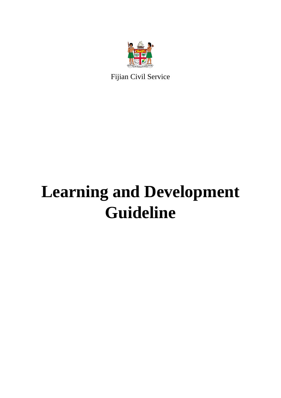

Fijian Civil Service

# **Learning and Development Guideline**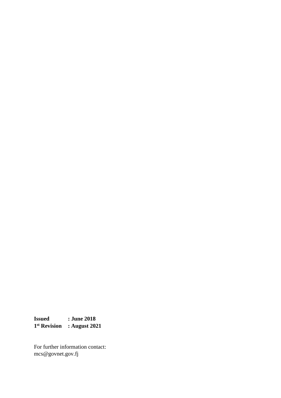**Issued : June 2018 1 st Revision : August 2021**

For further information contact: mcs@govnet.gov.fj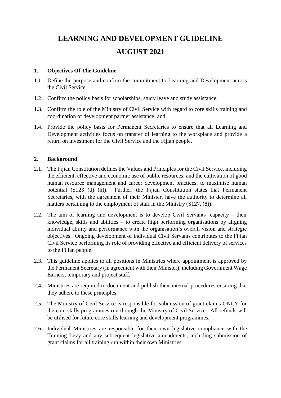### **LEARNING AND DEVELOPMENT GUIDELINE AUGUST 2021**

#### **1. Objectives Of The Guideline**

- 1.1. Define the purpose and confirm the commitment to Learning and Development across the Civil Service;
- 1.2. Confirm the policy basis for scholarships, study leave and study assistance;
- 1.3. Confirm the role of the Ministry of Civil Service with regard to core skills training and coordination of development partner assistance; and
- 1.4. Provide the policy basis for Permanent Secretaries to ensure that all Learning and Development activities focus on transfer of learning to the workplace and provide a return on investment for the Civil Service and the Fijian people.

#### **2. Background**

- 2.1. The Fijian Constitution defines the Values and Principles for the Civil Service, including the efficient, effective and economic use of public resources; and the cultivation of good human resource management and career development practices, to maximise human potential (S123 (d) (h)). Further, the Fijian Constitution states that Permanent Secretaries, with the agreement of their Minister, have the authority to determine all matters pertaining to the employment of staff in the Ministry (S127, (8)).
- 2.2. The aim of learning and development is to develop Civil Servants' capacity their knowledge, skills and abilities – to create high performing organisations by aligning individual ability and performance with the organisation's overall vision and strategic objectives. Ongoing development of individual Civil Servants contributes to the Fijian Civil Service performing its role of providing effective and efficient delivery of services to the Fijian people.
- 2.3. This guideline applies to all positions in Ministries where appointment is approved by the Permanent Secretary (in agreement with their Minister), including Government Wage Earners, temporary and project staff.
- 2.4. Ministries are required to document and publish their internal procedures ensuring that they adhere to these principles.
- 2.5. The Ministry of Civil Service is responsible for submission of grant claims ONLY for the core skills programmes run through the Ministry of Civil Service. All refunds will be utilised for future core skills learning and development programmes.
- 2.6. Individual Ministries are responsible for their own legislative compliance with the Training Levy and any subsequent legislative amendments, including submission of grant claims for all training run within their own Ministries.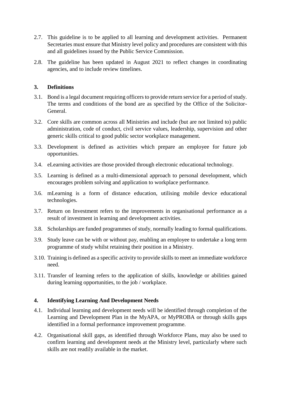- 2.7. This guideline is to be applied to all learning and development activities. Permanent Secretaries must ensure that Ministry level policy and procedures are consistent with this and all guidelines issued by the Public Service Commission.
- 2.8. The guideline has been updated in August 2021 to reflect changes in coordinating agencies, and to include review timelines.

#### **3. Definitions**

- 3.1. Bond is a legal document requiring officers to provide return service for a period of study. The terms and conditions of the bond are as specified by the Office of the Solicitor-General.
- 3.2. Core skills are common across all Ministries and include (but are not limited to) public administration, code of conduct, civil service values, leadership, supervision and other generic skills critical to good public sector workplace management.
- 3.3. Development is defined as activities which prepare an employee for future job opportunities.
- 3.4. eLearning activities are those provided through electronic educational technology.
- 3.5. Learning is defined as a multi-dimensional approach to personal development, which encourages problem solving and application to workplace performance.
- 3.6. mLearning is a form of distance education, utilising mobile device educational technologies.
- 3.7. Return on Investment refers to the improvements in organisational performance as a result of investment in learning and development activities.
- 3.8. Scholarships are funded programmes of study, normally leading to formal qualifications.
- 3.9. Study leave can be with or without pay, enabling an employee to undertake a long term programme of study whilst retaining their position in a Ministry.
- 3.10. Training is defined as a specific activity to provide skills to meet an immediate workforce need.
- 3.11. Transfer of learning refers to the application of skills, knowledge or abilities gained during learning opportunities, to the job / workplace.

#### **4. Identifying Learning And Development Needs**

- 4.1. Individual learning and development needs will be identified through completion of the Learning and Development Plan in the MyAPA, or MyPROBA or through skills gaps identified in a formal performance improvement programme.
- 4.2. Organisational skill gaps, as identified through Workforce Plans, may also be used to confirm learning and development needs at the Ministry level, particularly where such skills are not readily available in the market.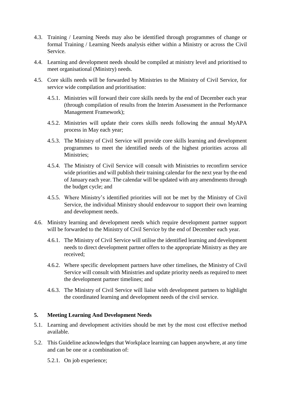- 4.3. Training / Learning Needs may also be identified through programmes of change or formal Training / Learning Needs analysis either within a Ministry or across the Civil Service.
- 4.4. Learning and development needs should be compiled at ministry level and prioritised to meet organisational (Ministry) needs.
- 4.5. Core skills needs will be forwarded by Ministries to the Ministry of Civil Service, for service wide compilation and prioritisation:
	- 4.5.1. Ministries will forward their core skills needs by the end of December each year (through compilation of results from the Interim Assessment in the Performance Management Framework);
	- 4.5.2. Ministries will update their cores skills needs following the annual MyAPA process in May each year;
	- 4.5.3. The Ministry of Civil Service will provide core skills learning and development programmes to meet the identified needs of the highest priorities across all Ministries;
	- 4.5.4. The Ministry of Civil Service will consult with Ministries to reconfirm service wide priorities and will publish their training calendar for the next year by the end of January each year. The calendar will be updated with any amendments through the budget cycle; and
	- 4.5.5. Where Ministry's identified priorities will not be met by the Ministry of Civil Service, the individual Ministry should endeavour to support their own learning and development needs.
- 4.6. Ministry learning and development needs which require development partner support will be forwarded to the Ministry of Civil Service by the end of December each year.
	- 4.6.1. The Ministry of Civil Service will utilise the identified learning and development needs to direct development partner offers to the appropriate Ministry as they are received;
	- 4.6.2. Where specific development partners have other timelines, the Ministry of Civil Service will consult with Ministries and update priority needs as required to meet the development partner timelines; and
	- 4.6.3. The Ministry of Civil Service will liaise with development partners to highlight the coordinated learning and development needs of the civil service.

#### **5. Meeting Learning And Development Needs**

- 5.1. Learning and development activities should be met by the most cost effective method available.
- 5.2. This Guideline acknowledges that Workplace learning can happen anywhere, at any time and can be one or a combination of:
	- 5.2.1. On job experience;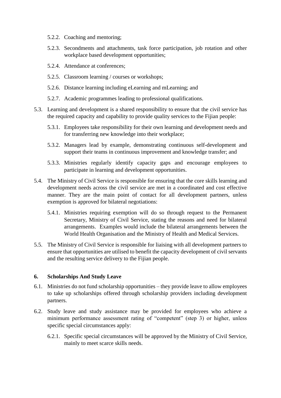- 5.2.2. Coaching and mentoring;
- 5.2.3. Secondments and attachments, task force participation, job rotation and other workplace based development opportunities;
- 5.2.4. Attendance at conferences;
- 5.2.5. Classroom learning / courses or workshops;
- 5.2.6. Distance learning including eLearning and mLearning; and
- 5.2.7. Academic programmes leading to professional qualifications.
- 5.3. Learning and development is a shared responsibility to ensure that the civil service has the required capacity and capability to provide quality services to the Fijian people:
	- 5.3.1. Employees take responsibility for their own learning and development needs and for transferring new knowledge into their workplace;
	- 5.3.2. Managers lead by example, demonstrating continuous self-development and support their teams in continuous improvement and knowledge transfer; and
	- 5.3.3. Ministries regularly identify capacity gaps and encourage employees to participate in learning and development opportunities.
- 5.4. The Ministry of Civil Service is responsible for ensuring that the core skills learning and development needs across the civil service are met in a coordinated and cost effective manner. They are the main point of contact for all development partners, unless exemption is approved for bilateral negotiations:
	- 5.4.1. Ministries requiring exemption will do so through request to the Permanent Secretary, Ministry of Civil Service, stating the reasons and need for bilateral arrangements. Examples would include the bilateral arrangements between the World Health Organisation and the Ministry of Health and Medical Services.
- 5.5. The Ministry of Civil Service is responsible for liaising with all development partners to ensure that opportunities are utilised to benefit the capacity development of civil servants and the resulting service delivery to the Fijian people.

#### **6. Scholarships And Study Leave**

- 6.1. Ministries do not fund scholarship opportunities they provide leave to allow employees to take up scholarships offered through scholarship providers including development partners.
- 6.2. Study leave and study assistance may be provided for employees who achieve a minimum performance assessment rating of "competent" (step 3) or higher, unless specific special circumstances apply:
	- 6.2.1. Specific special circumstances will be approved by the Ministry of Civil Service, mainly to meet scarce skills needs.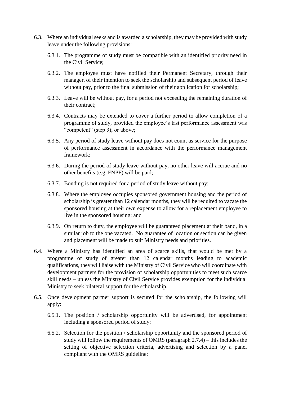- 6.3. Where an individual seeks and is awarded a scholarship, they may be provided with study leave under the following provisions:
	- 6.3.1. The programme of study must be compatible with an identified priority need in the Civil Service;
	- 6.3.2. The employee must have notified their Permanent Secretary, through their manager, of their intention to seek the scholarship and subsequent period of leave without pay, prior to the final submission of their application for scholarship;
	- 6.3.3. Leave will be without pay, for a period not exceeding the remaining duration of their contract;
	- 6.3.4. Contracts may be extended to cover a further period to allow completion of a programme of study, provided the employee's last performance assessment was "competent" (step 3); or above;
	- 6.3.5. Any period of study leave without pay does not count as service for the purpose of performance assessment in accordance with the performance management framework;
	- 6.3.6. During the period of study leave without pay, no other leave will accrue and no other benefits (e.g. FNPF) will be paid;
	- 6.3.7. Bonding is not required for a period of study leave without pay;
	- 6.3.8. Where the employee occupies sponsored government housing and the period of scholarship is greater than 12 calendar months, they will be required to vacate the sponsored housing at their own expense to allow for a replacement employee to live in the sponsored housing; and
	- 6.3.9. On return to duty, the employee will be guaranteed placement at their band, in a similar job to the one vacated. No guarantee of location or section can be given and placement will be made to suit Ministry needs and priorities.
- 6.4. Where a Ministry has identified an area of scarce skills, that would be met by a programme of study of greater than 12 calendar months leading to academic qualifications, they will liaise with the Ministry of Civil Service who will coordinate with development partners for the provision of scholarship opportunities to meet such scarce skill needs – unless the Ministry of Civil Service provides exemption for the individual Ministry to seek bilateral support for the scholarship.
- 6.5. Once development partner support is secured for the scholarship, the following will apply:
	- 6.5.1. The position / scholarship opportunity will be advertised, for appointment including a sponsored period of study;
	- 6.5.2. Selection for the position / scholarship opportunity and the sponsored period of study will follow the requirements of OMRS (paragraph 2.7.4) – this includes the setting of objective selection criteria, advertising and selection by a panel compliant with the OMRS guideline;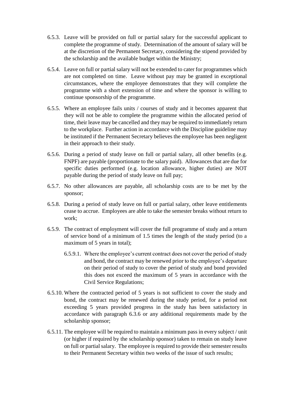- 6.5.3. Leave will be provided on full or partial salary for the successful applicant to complete the programme of study. Determination of the amount of salary will be at the discretion of the Permanent Secretary, considering the stipend provided by the scholarship and the available budget within the Ministry;
- 6.5.4. Leave on full or partial salary will not be extended to cater for programmes which are not completed on time. Leave without pay may be granted in exceptional circumstances, where the employee demonstrates that they will complete the programme with a short extension of time and where the sponsor is willing to continue sponsorship of the programme.
- 6.5.5. Where an employee fails units / courses of study and it becomes apparent that they will not be able to complete the programme within the allocated period of time, their leave may be cancelled and they may be required to immediately return to the workplace. Further action in accordance with the Discipline guideline may be instituted if the Permanent Secretary believes the employee has been negligent in their approach to their study.
- 6.5.6. During a period of study leave on full or partial salary, all other benefits (e.g. FNPF) are payable (proportionate to the salary paid). Allowances that are due for specific duties performed (e.g. location allowance, higher duties) are NOT payable during the period of study leave on full pay;
- 6.5.7. No other allowances are payable, all scholarship costs are to be met by the sponsor;
- 6.5.8. During a period of study leave on full or partial salary, other leave entitlements cease to accrue. Employees are able to take the semester breaks without return to work;
- 6.5.9. The contract of employment will cover the full programme of study and a return of service bond of a minimum of 1.5 times the length of the study period (to a maximum of 5 years in total);
	- 6.5.9.1. Where the employee's current contract does not cover the period of study and bond, the contract may be renewed prior to the employee's departure on their period of study to cover the period of study and bond provided this does not exceed the maximum of 5 years in accordance with the Civil Service Regulations;
- 6.5.10. Where the contracted period of 5 years is not sufficient to cover the study and bond, the contract may be renewed during the study period, for a period not exceeding 5 years provided progress in the study has been satisfactory in accordance with paragraph 6.3.6 or any additional requirements made by the scholarship sponsor;
- 6.5.11. The employee will be required to maintain a minimum pass in every subject / unit (or higher if required by the scholarship sponsor) taken to remain on study leave on full or partial salary. The employee is required to provide their semester results to their Permanent Secretary within two weeks of the issue of such results;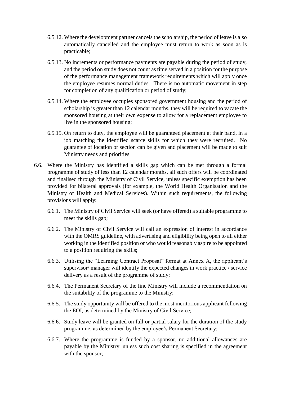- 6.5.12. Where the development partner cancels the scholarship, the period of leave is also automatically cancelled and the employee must return to work as soon as is practicable;
- 6.5.13. No increments or performance payments are payable during the period of study, and the period on study does not count as time served in a position for the purpose of the performance management framework requirements which will apply once the employee resumes normal duties. There is no automatic movement in step for completion of any qualification or period of study;
- 6.5.14. Where the employee occupies sponsored government housing and the period of scholarship is greater than 12 calendar months, they will be required to vacate the sponsored housing at their own expense to allow for a replacement employee to live in the sponsored housing;
- 6.5.15. On return to duty, the employee will be guaranteed placement at their band, in a job matching the identified scarce skills for which they were recruited. No guarantee of location or section can be given and placement will be made to suit Ministry needs and priorities.
- 6.6. Where the Ministry has identified a skills gap which can be met through a formal programme of study of less than 12 calendar months, all such offers will be coordinated and finalised through the Ministry of Civil Service, unless specific exemption has been provided for bilateral approvals (for example, the World Health Organisation and the Ministry of Health and Medical Services). Within such requirements, the following provisions will apply:
	- 6.6.1. The Ministry of Civil Service will seek (or have offered) a suitable programme to meet the skills gap;
	- 6.6.2. The Ministry of Civil Service will call an expression of interest in accordance with the OMRS guideline, with advertising and eligibility being open to all either working in the identified position or who would reasonably aspire to be appointed to a position requiring the skills;
	- 6.6.3. Utilising the "Learning Contract Proposal" format at Annex A, the applicant's supervisor/ manager will identify the expected changes in work practice / service delivery as a result of the programme of study;
	- 6.6.4. The Permanent Secretary of the line Ministry will include a recommendation on the suitability of the programme to the Ministry;
	- 6.6.5. The study opportunity will be offered to the most meritorious applicant following the EOI, as determined by the Ministry of Civil Service;
	- 6.6.6. Study leave will be granted on full or partial salary for the duration of the study programme, as determined by the employee's Permanent Secretary;
	- 6.6.7. Where the programme is funded by a sponsor, no additional allowances are payable by the Ministry, unless such cost sharing is specified in the agreement with the sponsor;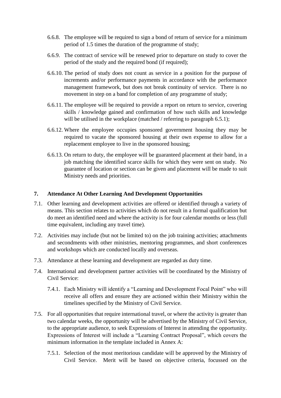- 6.6.8. The employee will be required to sign a bond of return of service for a minimum period of 1.5 times the duration of the programme of study;
- 6.6.9. The contract of service will be renewed prior to departure on study to cover the period of the study and the required bond (if required);
- 6.6.10. The period of study does not count as service in a position for the purpose of increments and/or performance payments in accordance with the performance management framework, but does not break continuity of service. There is no movement in step on a band for completion of any programme of study;
- 6.6.11. The employee will be required to provide a report on return to service, covering skills / knowledge gained and confirmation of how such skills and knowledge will be utilised in the workplace (matched / referring to paragraph 6.5.1);
- 6.6.12. Where the employee occupies sponsored government housing they may be required to vacate the sponsored housing at their own expense to allow for a replacement employee to live in the sponsored housing;
- 6.6.13. On return to duty, the employee will be guaranteed placement at their band, in a job matching the identified scarce skills for which they were sent on study. No guarantee of location or section can be given and placement will be made to suit Ministry needs and priorities.

#### **7. Attendance At Other Learning And Development Opportunities**

- 7.1. Other learning and development activities are offered or identified through a variety of means. This section relates to activities which do not result in a formal qualification but do meet an identified need and where the activity is for four calendar months or less (full time equivalent, including any travel time).
- 7.2. Activities may include (but not be limited to) on the job training activities; attachments and secondments with other ministries, mentoring programmes, and short conferences and workshops which are conducted locally and overseas.
- 7.3. Attendance at these learning and development are regarded as duty time.
- 7.4. International and development partner activities will be coordinated by the Ministry of Civil Service:
	- 7.4.1. Each Ministry will identify a "Learning and Development Focal Point" who will receive all offers and ensure they are actioned within their Ministry within the timelines specified by the Ministry of Civil Service.
- 7.5. For all opportunities that require international travel, or where the activity is greater than two calendar weeks, the opportunity will be advertised by the Ministry of Civil Service, to the appropriate audience, to seek Expressions of Interest in attending the opportunity. Expressions of Interest will include a "Learning Contract Proposal", which covers the minimum information in the template included in Annex A:
	- 7.5.1. Selection of the most meritorious candidate will be approved by the Ministry of Civil Service. Merit will be based on objective criteria, focussed on the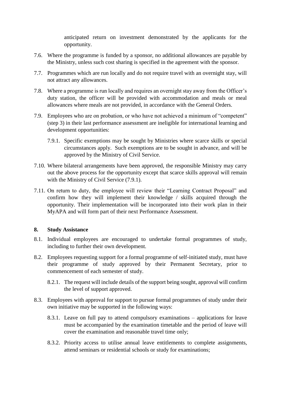anticipated return on investment demonstrated by the applicants for the opportunity.

- 7.6. Where the programme is funded by a sponsor, no additional allowances are payable by the Ministry, unless such cost sharing is specified in the agreement with the sponsor.
- 7.7. Programmes which are run locally and do not require travel with an overnight stay, will not attract any allowances.
- 7.8. Where a programme is run locally and requires an overnight stay away from the Officer's duty station, the officer will be provided with accommodation and meals or meal allowances where meals are not provided, in accordance with the General Orders.
- 7.9. Employees who are on probation, or who have not achieved a minimum of "competent" (step 3) in their last performance assessment are ineligible for international learning and development opportunities:
	- 7.9.1. Specific exemptions may be sought by Ministries where scarce skills or special circumstances apply. Such exemptions are to be sought in advance, and will be approved by the Ministry of Civil Service.
- 7.10. Where bilateral arrangements have been approved, the responsible Ministry may carry out the above process for the opportunity except that scarce skills approval will remain with the Ministry of Civil Service  $(7.9.1)$ .
- 7.11. On return to duty, the employee will review their "Learning Contract Proposal" and confirm how they will implement their knowledge / skills acquired through the opportunity. Their implementation will be incorporated into their work plan in their MyAPA and will form part of their next Performance Assessment.

#### **8. Study Assistance**

- 8.1. Individual employees are encouraged to undertake formal programmes of study, including to further their own development.
- 8.2. Employees requesting support for a formal programme of self-initiated study, must have their programme of study approved by their Permanent Secretary, prior to commencement of each semester of study.
	- 8.2.1. The request will include details of the support being sought, approval will confirm the level of support approved.
- 8.3. Employees with approval for support to pursue formal programmes of study under their own initiative may be supported in the following ways:
	- 8.3.1. Leave on full pay to attend compulsory examinations applications for leave must be accompanied by the examination timetable and the period of leave will cover the examination and reasonable travel time only;
	- 8.3.2. Priority access to utilise annual leave entitlements to complete assignments, attend seminars or residential schools or study for examinations;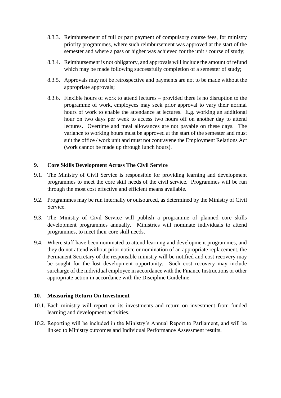- 8.3.3. Reimbursement of full or part payment of compulsory course fees, for ministry priority programmes, where such reimbursement was approved at the start of the semester and where a pass or higher was achieved for the unit / course of study;
- 8.3.4. Reimbursement is not obligatory, and approvals will include the amount of refund which may be made following successfully completion of a semester of study;
- 8.3.5. Approvals may not be retrospective and payments are not to be made without the appropriate approvals;
- 8.3.6. Flexible hours of work to attend lectures provided there is no disruption to the programme of work, employees may seek prior approval to vary their normal hours of work to enable the attendance at lectures. E.g. working an additional hour on two days per week to access two hours off on another day to attend lectures. Overtime and meal allowances are not payable on these days. The variance to working hours must be approved at the start of the semester and must suit the office / work unit and must not contravene the Employment Relations Act (work cannot be made up through lunch hours).

#### **9. Core Skills Development Across The Civil Service**

- 9.1. The Ministry of Civil Service is responsible for providing learning and development programmes to meet the core skill needs of the civil service. Programmes will be run through the most cost effective and efficient means available.
- 9.2. Programmes may be run internally or outsourced, as determined by the Ministry of Civil Service.
- 9.3. The Ministry of Civil Service will publish a programme of planned core skills development programmes annually. Ministries will nominate individuals to attend programmes, to meet their core skill needs.
- 9.4. Where staff have been nominated to attend learning and development programmes, and they do not attend without prior notice or nomination of an appropriate replacement, the Permanent Secretary of the responsible ministry will be notified and cost recovery may be sought for the lost development opportunity. Such cost recovery may include surcharge of the individual employee in accordance with the Finance Instructions or other appropriate action in accordance with the Discipline Guideline.

#### **10. Measuring Return On Investment**

- 10.1. Each ministry will report on its investments and return on investment from funded learning and development activities.
- 10.2. Reporting will be included in the Ministry's Annual Report to Parliament, and will be linked to Ministry outcomes and Individual Performance Assessment results.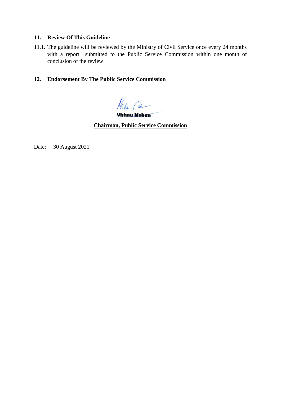#### **11. Review Of This Guideline**

11.1. The guideline will be reviewed by the Ministry of Civil Service once every 24 months with a report submitted to the Public Service Commission within one month of conclusion of the review

#### **12. Endorsement By The Public Service Commission**

Hochen Com

Vishnu Mohan

**Chairman, Public Service Commission**

Date: 30 August 2021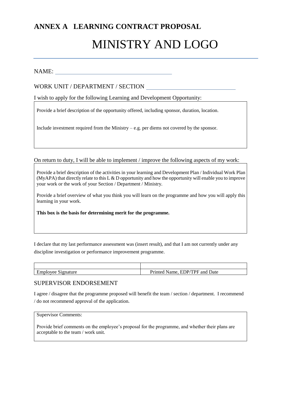## **ANNEX A LEARNING CONTRACT PROPOSAL** MINISTRY AND LOGO

#### NAME:

#### WORK UNIT / DEPARTMENT / SECTION

I wish to apply for the following Learning and Development Opportunity:

Provide a brief description of the opportunity offered, including sponsor, duration, location.

Include investment required from the Ministry – e.g. per diems not covered by the sponsor.

On return to duty, I will be able to implement / improve the following aspects of my work:

Provide a brief description of the activities in your learning and Development Plan / Individual Work Plan (MyAPA) that directly relate to this  $L & D$  opportunity and how the opportunity will enable you to improve your work or the work of your Section / Department / Ministry.

Provide a brief overview of what you think you will learn on the programme and how you will apply this learning in your work.

**This box is the basis for determining merit for the programme.**

I declare that my last performance assessment was (insert result), and that I am not currently under any discipline investigation or performance improvement programme.

| ⊅nature<br><b>Nee</b> | 'PF<br>and<br>Date<br>ED <i>P</i><br>™e.<br>. . |
|-----------------------|-------------------------------------------------|

#### SUPERVISOR ENDORSEMENT

I agree / disagree that the programme proposed will benefit the team / section / department. I recommend / do not recommend approval of the application.

Supervisor Comments:

Provide brief comments on the employee's proposal for the programme, and whether their plans are acceptable to the team / work unit.